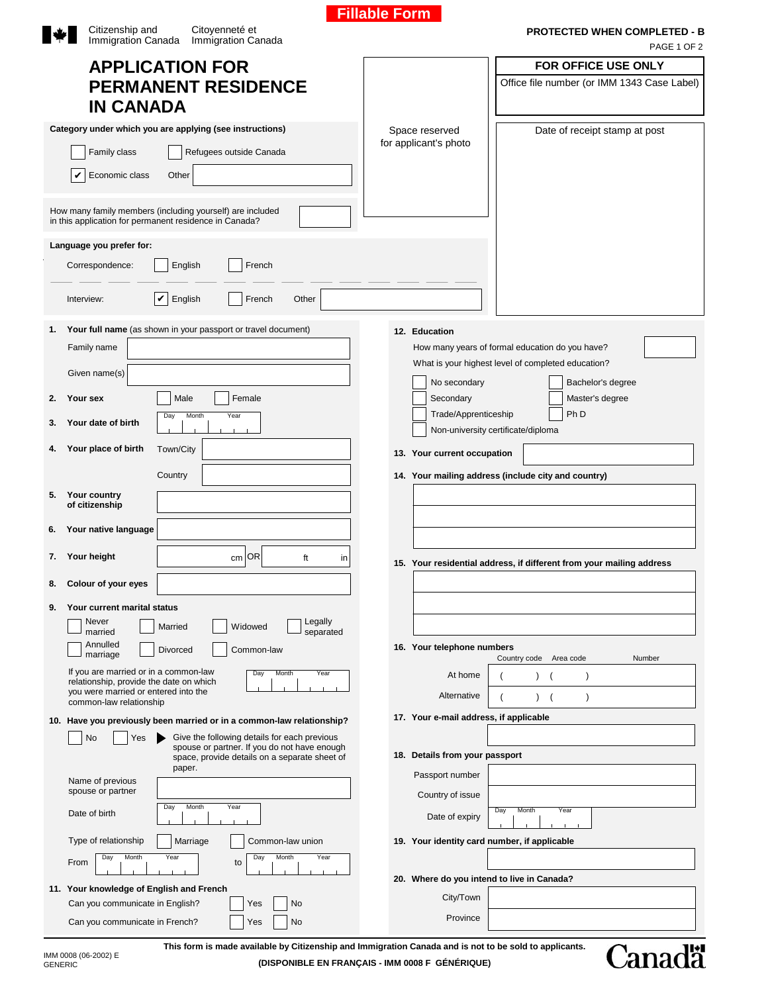|    | Citizenship and<br>Citoyenneté et<br>Immigration Canada<br>Immigration Canada    |                                                                                                                     |  | <b>PROTECTED WHEN COMPLETED - B</b><br>PAGE 1 OF 2 |                                         |                                                                      |  |  |
|----|----------------------------------------------------------------------------------|---------------------------------------------------------------------------------------------------------------------|--|----------------------------------------------------|-----------------------------------------|----------------------------------------------------------------------|--|--|
|    |                                                                                  | <b>APPLICATION FOR</b>                                                                                              |  |                                                    |                                         | <b>FOR OFFICE USE ONLY</b>                                           |  |  |
|    |                                                                                  | <b>PERMANENT RESIDENCE</b>                                                                                          |  |                                                    |                                         | Office file number (or IMM 1343 Case Label)                          |  |  |
|    | <b>IN CANADA</b>                                                                 |                                                                                                                     |  |                                                    |                                         |                                                                      |  |  |
|    |                                                                                  |                                                                                                                     |  |                                                    |                                         |                                                                      |  |  |
|    |                                                                                  | Category under which you are applying (see instructions)                                                            |  |                                                    | Space reserved<br>for applicant's photo | Date of receipt stamp at post                                        |  |  |
|    | Family class                                                                     | Refugees outside Canada                                                                                             |  |                                                    |                                         |                                                                      |  |  |
|    | Economic class                                                                   | Other                                                                                                               |  |                                                    |                                         |                                                                      |  |  |
|    |                                                                                  | How many family members (including yourself) are included<br>in this application for permanent residence in Canada? |  |                                                    |                                         |                                                                      |  |  |
|    | Language you prefer for:                                                         |                                                                                                                     |  |                                                    |                                         |                                                                      |  |  |
|    | Correspondence:                                                                  | French<br>English                                                                                                   |  |                                                    |                                         |                                                                      |  |  |
|    | Interview:                                                                       | $\boldsymbol{\mathsf{v}}$<br>English<br>French<br>Other                                                             |  |                                                    |                                         |                                                                      |  |  |
| 1. |                                                                                  | Your full name (as shown in your passport or travel document)                                                       |  |                                                    | 12. Education                           |                                                                      |  |  |
|    | Family name                                                                      |                                                                                                                     |  |                                                    |                                         | How many years of formal education do you have?                      |  |  |
|    | Given name(s)                                                                    |                                                                                                                     |  |                                                    |                                         | What is your highest level of completed education?                   |  |  |
| 2. | Your sex                                                                         | Male<br>Female                                                                                                      |  |                                                    | No secondary<br>Secondary               | Bachelor's degree<br>Master's degree                                 |  |  |
| 3. | Your date of birth                                                               | Month<br>Day<br>Year                                                                                                |  |                                                    | Trade/Apprenticeship                    | Ph <sub>D</sub><br>Non-university certificate/diploma                |  |  |
| 4. | Your place of birth                                                              | Town/City                                                                                                           |  |                                                    | 13. Your current occupation             |                                                                      |  |  |
|    |                                                                                  | Country                                                                                                             |  |                                                    |                                         | 14. Your mailing address (include city and country)                  |  |  |
| 5. | Your country                                                                     |                                                                                                                     |  |                                                    |                                         |                                                                      |  |  |
|    | of citizenship                                                                   |                                                                                                                     |  |                                                    |                                         |                                                                      |  |  |
| 6. | Your native language                                                             |                                                                                                                     |  |                                                    |                                         |                                                                      |  |  |
|    | 7. Your height                                                                   | $cm$ OR<br>ft<br>in                                                                                                 |  |                                                    |                                         | 15. Your residential address, if different from your mailing address |  |  |
| 8. | Colour of your eyes                                                              |                                                                                                                     |  |                                                    |                                         |                                                                      |  |  |
| 9. | Your current marital status                                                      |                                                                                                                     |  |                                                    |                                         |                                                                      |  |  |
|    | Never<br>married                                                                 | Legally<br>Widowed<br>Married<br>separated                                                                          |  |                                                    |                                         |                                                                      |  |  |
|    | Annulled<br>marriage                                                             | Divorced<br>Common-law                                                                                              |  |                                                    | 16. Your telephone numbers              | Country code<br>Area code<br>Number                                  |  |  |
|    | If you are married or in a common-law<br>relationship, provide the date on which | Month<br>Day<br>Year                                                                                                |  |                                                    | At home                                 |                                                                      |  |  |
|    | you were married or entered into the<br>common-law relationship                  |                                                                                                                     |  |                                                    | Alternative                             | $\lambda$<br>$\lambda$<br>$\overline{ }$                             |  |  |
|    |                                                                                  | 10. Have you previously been married or in a common-law relationship?                                               |  |                                                    | 17. Your e-mail address, if applicable  |                                                                      |  |  |
|    | Yes<br>No                                                                        | Give the following details for each previous<br>spouse or partner. If you do not have enough                        |  |                                                    |                                         |                                                                      |  |  |
|    |                                                                                  | space, provide details on a separate sheet of                                                                       |  |                                                    | 18. Details from your passport          |                                                                      |  |  |
|    | Name of previous                                                                 | paper.                                                                                                              |  |                                                    | Passport number                         |                                                                      |  |  |
|    | spouse or partner                                                                |                                                                                                                     |  |                                                    | Country of issue                        |                                                                      |  |  |
|    | Date of birth                                                                    | Month<br>Year<br>Day                                                                                                |  |                                                    | Date of expiry                          | Day<br>Month<br>Year                                                 |  |  |
|    | Type of relationship                                                             | Marriage<br>Common-law union                                                                                        |  |                                                    |                                         | 19. Your identity card number, if applicable                         |  |  |
|    | Month<br>Day<br>From                                                             | Year<br>Day<br>Month<br>Year<br>to                                                                                  |  |                                                    |                                         |                                                                      |  |  |
|    |                                                                                  | 11. Your knowledge of English and French                                                                            |  |                                                    |                                         | 20. Where do you intend to live in Canada?                           |  |  |
|    | Can you communicate in English?                                                  | No<br>Yes                                                                                                           |  |                                                    | City/Town                               |                                                                      |  |  |
|    | Can you communicate in French?                                                   | Yes<br>No                                                                                                           |  |                                                    | Province                                |                                                                      |  |  |

**Fillable Form**

IMM 0008 (06-2002) E<br>GENERIC

**This form is made available by Citizenship and Immigration Canada and is not to be sold to applicants.**

**(DISPONIBLE EN FRANÇAIS - IMM 0008 F GÉNÉRIQUE)** 

Canadä